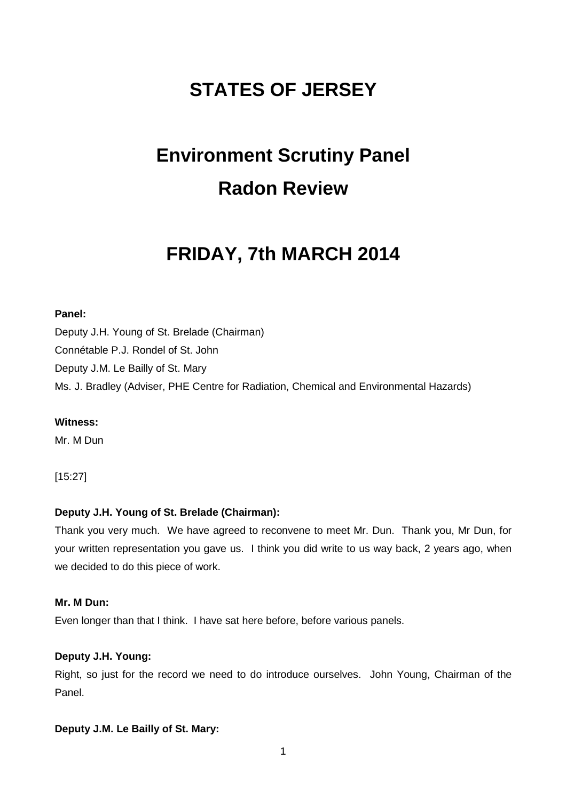# **STATES OF JERSEY**

# **Environment Scrutiny Panel Radon Review**

# **FRIDAY, 7th MARCH 2014**

# **Panel:**

Deputy J.H. Young of St. Brelade (Chairman) Connétable P.J. Rondel of St. John Deputy J.M. Le Bailly of St. Mary Ms. J. Bradley (Adviser, PHE Centre for Radiation, Chemical and Environmental Hazards)

#### **Witness:**

Mr. M Dun

[15:27]

# **Deputy J.H. Young of St. Brelade (Chairman):**

Thank you very much. We have agreed to reconvene to meet Mr. Dun. Thank you, Mr Dun, for your written representation you gave us. I think you did write to us way back, 2 years ago, when we decided to do this piece of work.

# **Mr. M Dun:**

Even longer than that I think. I have sat here before, before various panels.

# **Deputy J.H. Young:**

Right, so just for the record we need to do introduce ourselves. John Young, Chairman of the Panel.

# **Deputy J.M. Le Bailly of St. Mary:**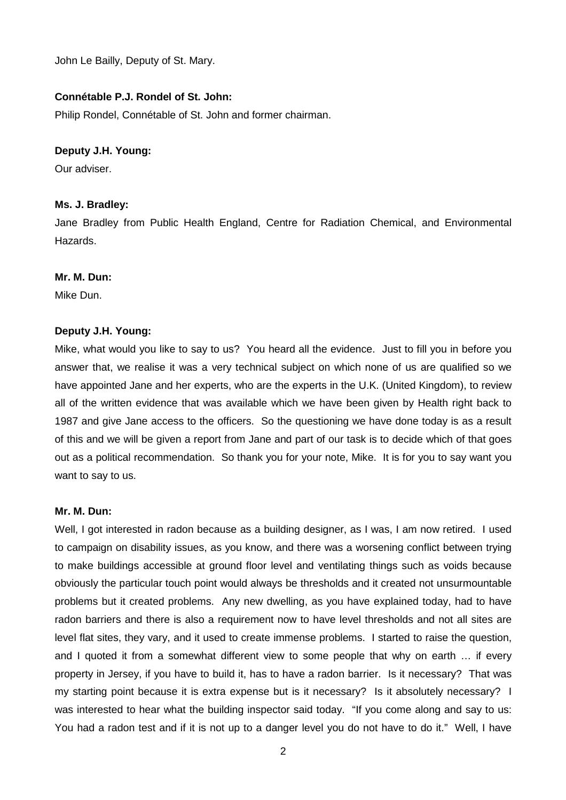John Le Bailly, Deputy of St. Mary.

#### **Connétable P.J. Rondel of St. John:**

Philip Rondel, Connétable of St. John and former chairman.

#### **Deputy J.H. Young:**

Our adviser.

#### **Ms. J. Bradley:**

Jane Bradley from Public Health England, Centre for Radiation Chemical, and Environmental Hazards.

#### **Mr. M. Dun:**

Mike Dun.

#### **Deputy J.H. Young:**

Mike, what would you like to say to us? You heard all the evidence. Just to fill you in before you answer that, we realise it was a very technical subject on which none of us are qualified so we have appointed Jane and her experts, who are the experts in the U.K. (United Kingdom), to review all of the written evidence that was available which we have been given by Health right back to 1987 and give Jane access to the officers. So the questioning we have done today is as a result of this and we will be given a report from Jane and part of our task is to decide which of that goes out as a political recommendation. So thank you for your note, Mike. It is for you to say want you want to say to us.

#### **Mr. M. Dun:**

Well, I got interested in radon because as a building designer, as I was, I am now retired. I used to campaign on disability issues, as you know, and there was a worsening conflict between trying to make buildings accessible at ground floor level and ventilating things such as voids because obviously the particular touch point would always be thresholds and it created not unsurmountable problems but it created problems. Any new dwelling, as you have explained today, had to have radon barriers and there is also a requirement now to have level thresholds and not all sites are level flat sites, they vary, and it used to create immense problems. I started to raise the question, and I quoted it from a somewhat different view to some people that why on earth … if every property in Jersey, if you have to build it, has to have a radon barrier. Is it necessary? That was my starting point because it is extra expense but is it necessary? Is it absolutely necessary? I was interested to hear what the building inspector said today. "If you come along and say to us: You had a radon test and if it is not up to a danger level you do not have to do it." Well, I have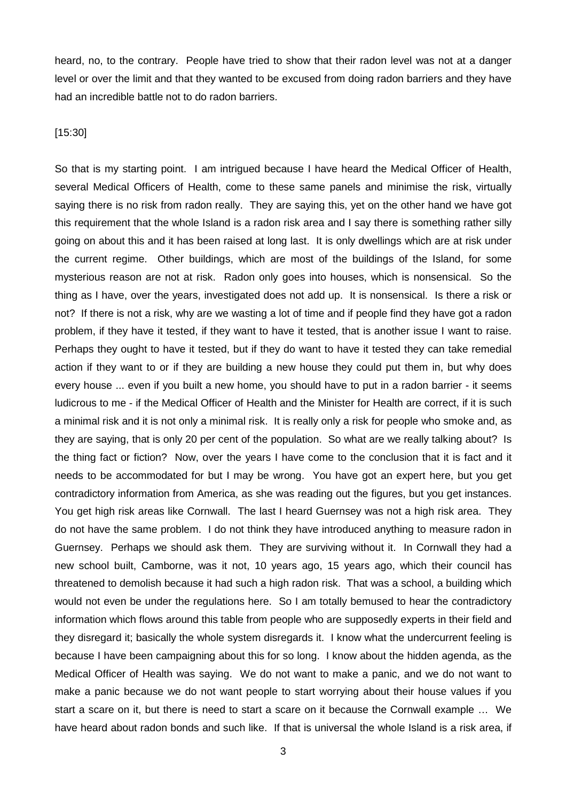heard, no, to the contrary. People have tried to show that their radon level was not at a danger level or over the limit and that they wanted to be excused from doing radon barriers and they have had an incredible battle not to do radon barriers.

# [15:30]

So that is my starting point. I am intrigued because I have heard the Medical Officer of Health, several Medical Officers of Health, come to these same panels and minimise the risk, virtually saying there is no risk from radon really. They are saying this, yet on the other hand we have got this requirement that the whole Island is a radon risk area and I say there is something rather silly going on about this and it has been raised at long last. It is only dwellings which are at risk under the current regime. Other buildings, which are most of the buildings of the Island, for some mysterious reason are not at risk. Radon only goes into houses, which is nonsensical. So the thing as I have, over the years, investigated does not add up. It is nonsensical. Is there a risk or not? If there is not a risk, why are we wasting a lot of time and if people find they have got a radon problem, if they have it tested, if they want to have it tested, that is another issue I want to raise. Perhaps they ought to have it tested, but if they do want to have it tested they can take remedial action if they want to or if they are building a new house they could put them in, but why does every house ... even if you built a new home, you should have to put in a radon barrier - it seems ludicrous to me - if the Medical Officer of Health and the Minister for Health are correct, if it is such a minimal risk and it is not only a minimal risk. It is really only a risk for people who smoke and, as they are saying, that is only 20 per cent of the population. So what are we really talking about? Is the thing fact or fiction? Now, over the years I have come to the conclusion that it is fact and it needs to be accommodated for but I may be wrong. You have got an expert here, but you get contradictory information from America, as she was reading out the figures, but you get instances. You get high risk areas like Cornwall. The last I heard Guernsey was not a high risk area. They do not have the same problem. I do not think they have introduced anything to measure radon in Guernsey. Perhaps we should ask them. They are surviving without it. In Cornwall they had a new school built, Camborne, was it not, 10 years ago, 15 years ago, which their council has threatened to demolish because it had such a high radon risk. That was a school, a building which would not even be under the regulations here. So I am totally bemused to hear the contradictory information which flows around this table from people who are supposedly experts in their field and they disregard it; basically the whole system disregards it. I know what the undercurrent feeling is because I have been campaigning about this for so long. I know about the hidden agenda, as the Medical Officer of Health was saying. We do not want to make a panic, and we do not want to make a panic because we do not want people to start worrying about their house values if you start a scare on it, but there is need to start a scare on it because the Cornwall example … We have heard about radon bonds and such like. If that is universal the whole Island is a risk area, if

3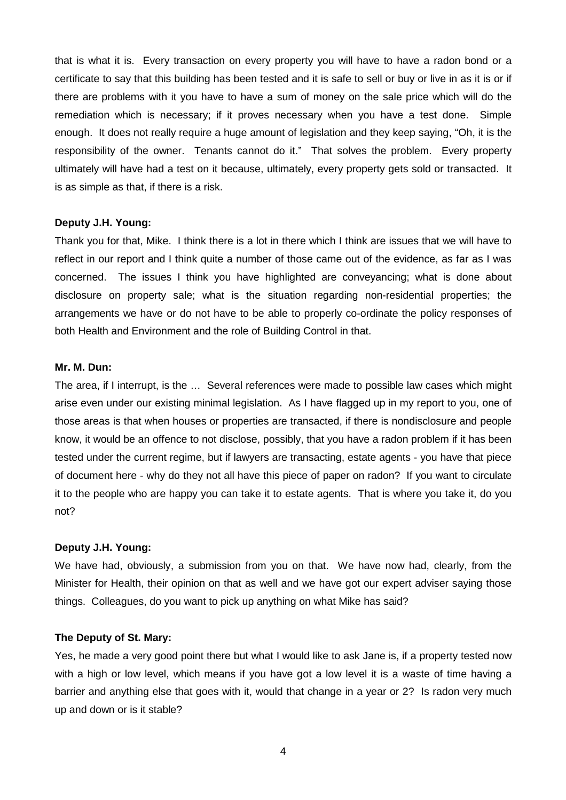that is what it is. Every transaction on every property you will have to have a radon bond or a certificate to say that this building has been tested and it is safe to sell or buy or live in as it is or if there are problems with it you have to have a sum of money on the sale price which will do the remediation which is necessary; if it proves necessary when you have a test done. Simple enough. It does not really require a huge amount of legislation and they keep saying, "Oh, it is the responsibility of the owner. Tenants cannot do it." That solves the problem. Every property ultimately will have had a test on it because, ultimately, every property gets sold or transacted. It is as simple as that, if there is a risk.

# **Deputy J.H. Young:**

Thank you for that, Mike. I think there is a lot in there which I think are issues that we will have to reflect in our report and I think quite a number of those came out of the evidence, as far as I was concerned. The issues I think you have highlighted are conveyancing; what is done about disclosure on property sale; what is the situation regarding non-residential properties; the arrangements we have or do not have to be able to properly co-ordinate the policy responses of both Health and Environment and the role of Building Control in that.

# **Mr. M. Dun:**

The area, if I interrupt, is the … Several references were made to possible law cases which might arise even under our existing minimal legislation. As I have flagged up in my report to you, one of those areas is that when houses or properties are transacted, if there is nondisclosure and people know, it would be an offence to not disclose, possibly, that you have a radon problem if it has been tested under the current regime, but if lawyers are transacting, estate agents - you have that piece of document here - why do they not all have this piece of paper on radon? If you want to circulate it to the people who are happy you can take it to estate agents. That is where you take it, do you not?

# **Deputy J.H. Young:**

We have had, obviously, a submission from you on that. We have now had, clearly, from the Minister for Health, their opinion on that as well and we have got our expert adviser saying those things. Colleagues, do you want to pick up anything on what Mike has said?

#### **The Deputy of St. Mary:**

Yes, he made a very good point there but what I would like to ask Jane is, if a property tested now with a high or low level, which means if you have got a low level it is a waste of time having a barrier and anything else that goes with it, would that change in a year or 2? Is radon very much up and down or is it stable?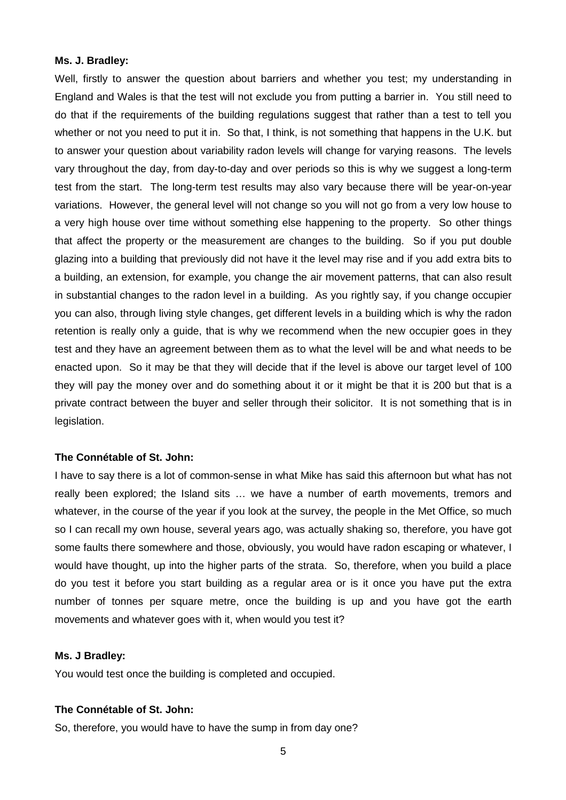#### **Ms. J. Bradley:**

Well, firstly to answer the question about barriers and whether you test; my understanding in England and Wales is that the test will not exclude you from putting a barrier in. You still need to do that if the requirements of the building regulations suggest that rather than a test to tell you whether or not you need to put it in. So that, I think, is not something that happens in the U.K. but to answer your question about variability radon levels will change for varying reasons. The levels vary throughout the day, from day-to-day and over periods so this is why we suggest a long-term test from the start. The long-term test results may also vary because there will be year-on-year variations. However, the general level will not change so you will not go from a very low house to a very high house over time without something else happening to the property. So other things that affect the property or the measurement are changes to the building. So if you put double glazing into a building that previously did not have it the level may rise and if you add extra bits to a building, an extension, for example, you change the air movement patterns, that can also result in substantial changes to the radon level in a building. As you rightly say, if you change occupier you can also, through living style changes, get different levels in a building which is why the radon retention is really only a guide, that is why we recommend when the new occupier goes in they test and they have an agreement between them as to what the level will be and what needs to be enacted upon. So it may be that they will decide that if the level is above our target level of 100 they will pay the money over and do something about it or it might be that it is 200 but that is a private contract between the buyer and seller through their solicitor. It is not something that is in legislation.

#### **The Connétable of St. John:**

I have to say there is a lot of common-sense in what Mike has said this afternoon but what has not really been explored; the Island sits … we have a number of earth movements, tremors and whatever, in the course of the year if you look at the survey, the people in the Met Office, so much so I can recall my own house, several years ago, was actually shaking so, therefore, you have got some faults there somewhere and those, obviously, you would have radon escaping or whatever, I would have thought, up into the higher parts of the strata. So, therefore, when you build a place do you test it before you start building as a regular area or is it once you have put the extra number of tonnes per square metre, once the building is up and you have got the earth movements and whatever goes with it, when would you test it?

#### **Ms. J Bradley:**

You would test once the building is completed and occupied.

#### **The Connétable of St. John:**

So, therefore, you would have to have the sump in from day one?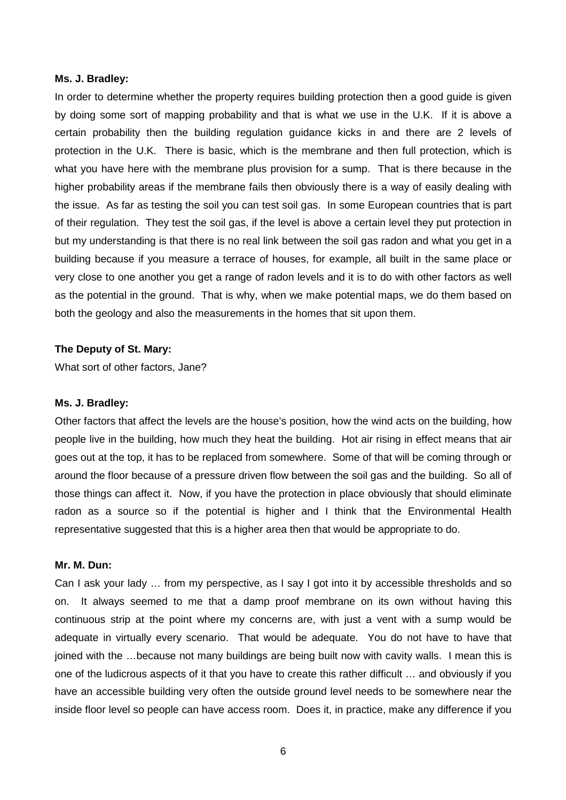#### **Ms. J. Bradley:**

In order to determine whether the property requires building protection then a good guide is given by doing some sort of mapping probability and that is what we use in the U.K. If it is above a certain probability then the building regulation guidance kicks in and there are 2 levels of protection in the U.K. There is basic, which is the membrane and then full protection, which is what you have here with the membrane plus provision for a sump. That is there because in the higher probability areas if the membrane fails then obviously there is a way of easily dealing with the issue. As far as testing the soil you can test soil gas. In some European countries that is part of their regulation. They test the soil gas, if the level is above a certain level they put protection in but my understanding is that there is no real link between the soil gas radon and what you get in a building because if you measure a terrace of houses, for example, all built in the same place or very close to one another you get a range of radon levels and it is to do with other factors as well as the potential in the ground. That is why, when we make potential maps, we do them based on both the geology and also the measurements in the homes that sit upon them.

#### **The Deputy of St. Mary:**

What sort of other factors, Jane?

#### **Ms. J. Bradley:**

Other factors that affect the levels are the house's position, how the wind acts on the building, how people live in the building, how much they heat the building. Hot air rising in effect means that air goes out at the top, it has to be replaced from somewhere. Some of that will be coming through or around the floor because of a pressure driven flow between the soil gas and the building. So all of those things can affect it. Now, if you have the protection in place obviously that should eliminate radon as a source so if the potential is higher and I think that the Environmental Health representative suggested that this is a higher area then that would be appropriate to do.

#### **Mr. M. Dun:**

Can I ask your lady … from my perspective, as I say I got into it by accessible thresholds and so on. It always seemed to me that a damp proof membrane on its own without having this continuous strip at the point where my concerns are, with just a vent with a sump would be adequate in virtually every scenario. That would be adequate. You do not have to have that joined with the …because not many buildings are being built now with cavity walls. I mean this is one of the ludicrous aspects of it that you have to create this rather difficult … and obviously if you have an accessible building very often the outside ground level needs to be somewhere near the inside floor level so people can have access room. Does it, in practice, make any difference if you

6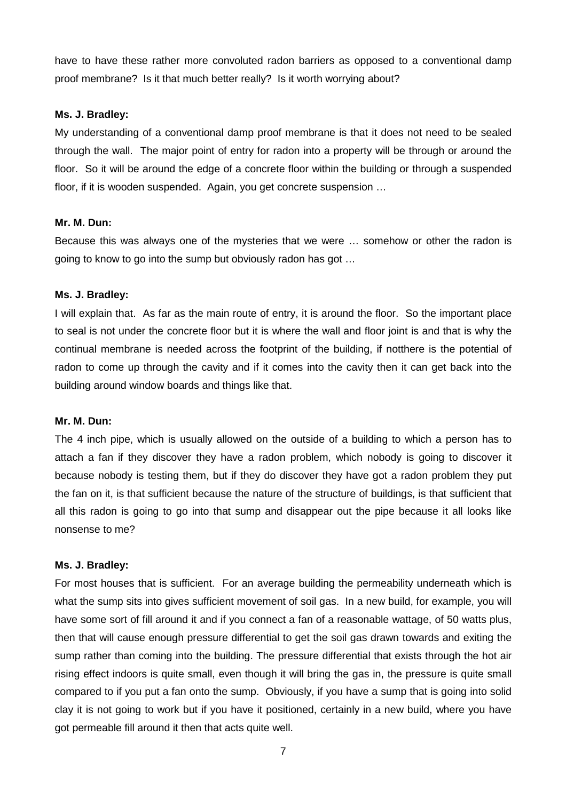have to have these rather more convoluted radon barriers as opposed to a conventional damp proof membrane? Is it that much better really? Is it worth worrying about?

#### **Ms. J. Bradley:**

My understanding of a conventional damp proof membrane is that it does not need to be sealed through the wall. The major point of entry for radon into a property will be through or around the floor. So it will be around the edge of a concrete floor within the building or through a suspended floor, if it is wooden suspended. Again, you get concrete suspension …

# **Mr. M. Dun:**

Because this was always one of the mysteries that we were … somehow or other the radon is going to know to go into the sump but obviously radon has got …

# **Ms. J. Bradley:**

I will explain that. As far as the main route of entry, it is around the floor. So the important place to seal is not under the concrete floor but it is where the wall and floor joint is and that is why the continual membrane is needed across the footprint of the building, if notthere is the potential of radon to come up through the cavity and if it comes into the cavity then it can get back into the building around window boards and things like that.

# **Mr. M. Dun:**

The 4 inch pipe, which is usually allowed on the outside of a building to which a person has to attach a fan if they discover they have a radon problem, which nobody is going to discover it because nobody is testing them, but if they do discover they have got a radon problem they put the fan on it, is that sufficient because the nature of the structure of buildings, is that sufficient that all this radon is going to go into that sump and disappear out the pipe because it all looks like nonsense to me?

#### **Ms. J. Bradley:**

For most houses that is sufficient. For an average building the permeability underneath which is what the sump sits into gives sufficient movement of soil gas. In a new build, for example, you will have some sort of fill around it and if you connect a fan of a reasonable wattage, of 50 watts plus, then that will cause enough pressure differential to get the soil gas drawn towards and exiting the sump rather than coming into the building. The pressure differential that exists through the hot air rising effect indoors is quite small, even though it will bring the gas in, the pressure is quite small compared to if you put a fan onto the sump. Obviously, if you have a sump that is going into solid clay it is not going to work but if you have it positioned, certainly in a new build, where you have got permeable fill around it then that acts quite well.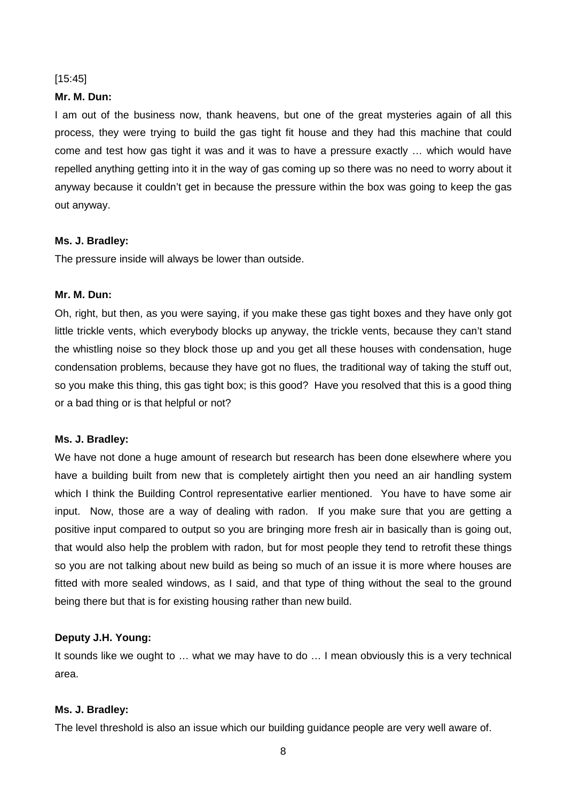#### [15:45]

#### **Mr. M. Dun:**

I am out of the business now, thank heavens, but one of the great mysteries again of all this process, they were trying to build the gas tight fit house and they had this machine that could come and test how gas tight it was and it was to have a pressure exactly … which would have repelled anything getting into it in the way of gas coming up so there was no need to worry about it anyway because it couldn't get in because the pressure within the box was going to keep the gas out anyway.

# **Ms. J. Bradley:**

The pressure inside will always be lower than outside.

# **Mr. M. Dun:**

Oh, right, but then, as you were saying, if you make these gas tight boxes and they have only got little trickle vents, which everybody blocks up anyway, the trickle vents, because they can't stand the whistling noise so they block those up and you get all these houses with condensation, huge condensation problems, because they have got no flues, the traditional way of taking the stuff out, so you make this thing, this gas tight box; is this good? Have you resolved that this is a good thing or a bad thing or is that helpful or not?

# **Ms. J. Bradley:**

We have not done a huge amount of research but research has been done elsewhere where you have a building built from new that is completely airtight then you need an air handling system which I think the Building Control representative earlier mentioned. You have to have some air input. Now, those are a way of dealing with radon. If you make sure that you are getting a positive input compared to output so you are bringing more fresh air in basically than is going out, that would also help the problem with radon, but for most people they tend to retrofit these things so you are not talking about new build as being so much of an issue it is more where houses are fitted with more sealed windows, as I said, and that type of thing without the seal to the ground being there but that is for existing housing rather than new build.

# **Deputy J.H. Young:**

It sounds like we ought to … what we may have to do … I mean obviously this is a very technical area.

# **Ms. J. Bradley:**

The level threshold is also an issue which our building guidance people are very well aware of.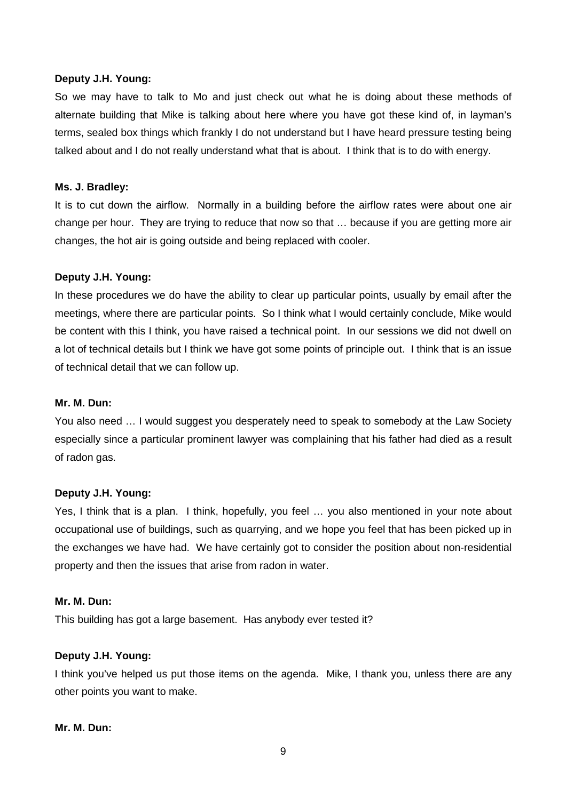#### **Deputy J.H. Young:**

So we may have to talk to Mo and just check out what he is doing about these methods of alternate building that Mike is talking about here where you have got these kind of, in layman's terms, sealed box things which frankly I do not understand but I have heard pressure testing being talked about and I do not really understand what that is about. I think that is to do with energy.

#### **Ms. J. Bradley:**

It is to cut down the airflow. Normally in a building before the airflow rates were about one air change per hour. They are trying to reduce that now so that … because if you are getting more air changes, the hot air is going outside and being replaced with cooler.

# **Deputy J.H. Young:**

In these procedures we do have the ability to clear up particular points, usually by email after the meetings, where there are particular points. So I think what I would certainly conclude, Mike would be content with this I think, you have raised a technical point. In our sessions we did not dwell on a lot of technical details but I think we have got some points of principle out. I think that is an issue of technical detail that we can follow up.

#### **Mr. M. Dun:**

You also need … I would suggest you desperately need to speak to somebody at the Law Society especially since a particular prominent lawyer was complaining that his father had died as a result of radon gas.

#### **Deputy J.H. Young:**

Yes, I think that is a plan. I think, hopefully, you feel … you also mentioned in your note about occupational use of buildings, such as quarrying, and we hope you feel that has been picked up in the exchanges we have had. We have certainly got to consider the position about non-residential property and then the issues that arise from radon in water.

# **Mr. M. Dun:**

This building has got a large basement. Has anybody ever tested it?

# **Deputy J.H. Young:**

I think you've helped us put those items on the agenda. Mike, I thank you, unless there are any other points you want to make.

#### **Mr. M. Dun:**